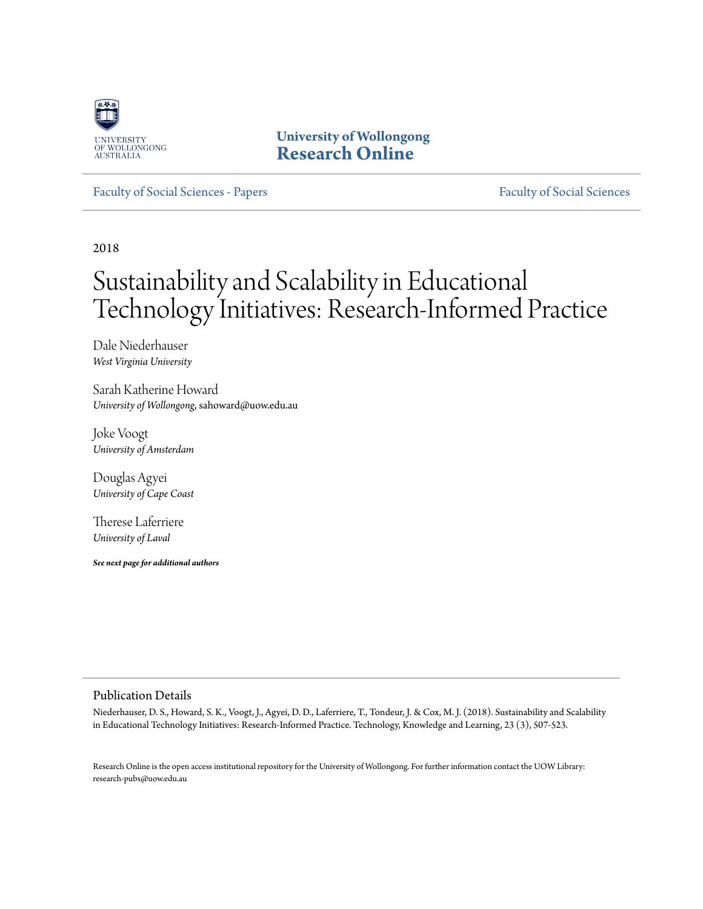

**University of Wollongong [Research Online](https://ro.uow.edu.au)**

[Faculty of Social Sciences - Papers](https://ro.uow.edu.au/sspapers) [Faculty of Social Sciences](https://ro.uow.edu.au/ss)

2018

# Sustainability and Scalability in Educational Technology Initiatives: Research-Informed Practice

Dale Niederhauser *West Virginia University*

Sarah Katherine Howard *University of Wollongong*, sahoward@uow.edu.au

Joke Voogt *University of Amsterdam*

Douglas Agyei *University of Cape Coast*

Therese Laferriere *University of Laval*

*See next page for additional authors*

#### Publication Details

Niederhauser, D. S., Howard, S. K., Voogt, J., Agyei, D. D., Laferriere, T., Tondeur, J. & Cox, M. J. (2018). Sustainability and Scalability in Educational Technology Initiatives: Research-Informed Practice. Technology, Knowledge and Learning, 23 (3), 507-523.

Research Online is the open access institutional repository for the University of Wollongong. For further information contact the UOW Library: research-pubs@uow.edu.au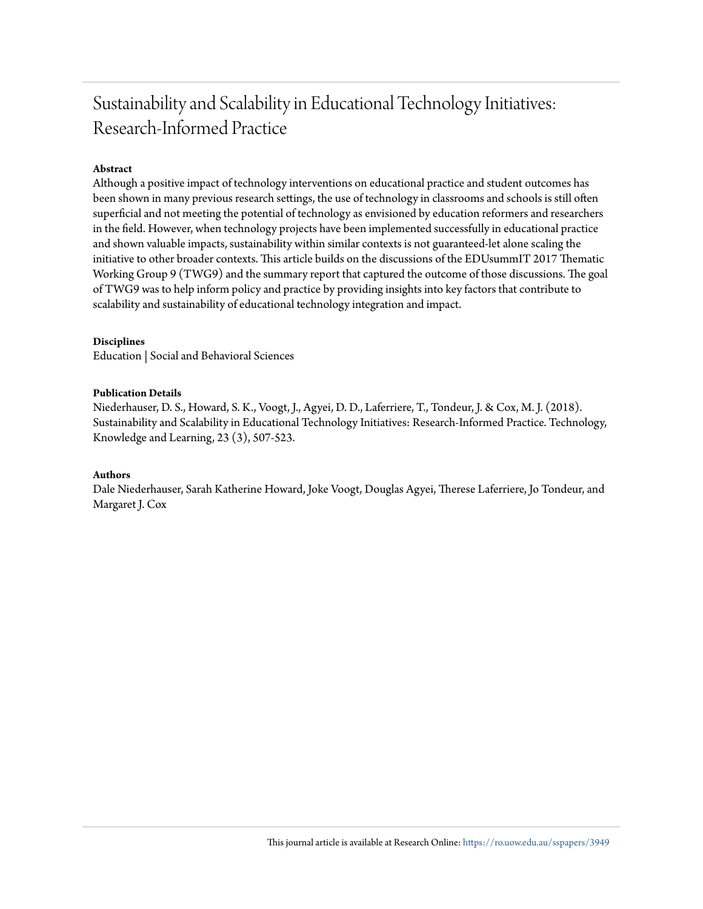# Sustainability and Scalability in Educational Technology Initiatives: Research-Informed Practice

### **Abstract**

Although a positive impact of technology interventions on educational practice and student outcomes has been shown in many previous research settings, the use of technology in classrooms and schools is still often superficial and not meeting the potential of technology as envisioned by education reformers and researchers in the field. However, when technology projects have been implemented successfully in educational practice and shown valuable impacts, sustainability within similar contexts is not guaranteed-let alone scaling the initiative to other broader contexts. This article builds on the discussions of the EDUsummIT 2017 Thematic Working Group 9 (TWG9) and the summary report that captured the outcome of those discussions. The goal of TWG9 was to help inform policy and practice by providing insights into key factors that contribute to scalability and sustainability of educational technology integration and impact.

#### **Disciplines**

Education | Social and Behavioral Sciences

#### **Publication Details**

Niederhauser, D. S., Howard, S. K., Voogt, J., Agyei, D. D., Laferriere, T., Tondeur, J. & Cox, M. J. (2018). Sustainability and Scalability in Educational Technology Initiatives: Research-Informed Practice. Technology, Knowledge and Learning, 23 (3), 507-523.

#### **Authors**

Dale Niederhauser, Sarah Katherine Howard, Joke Voogt, Douglas Agyei, Therese Laferriere, Jo Tondeur, and Margaret J. Cox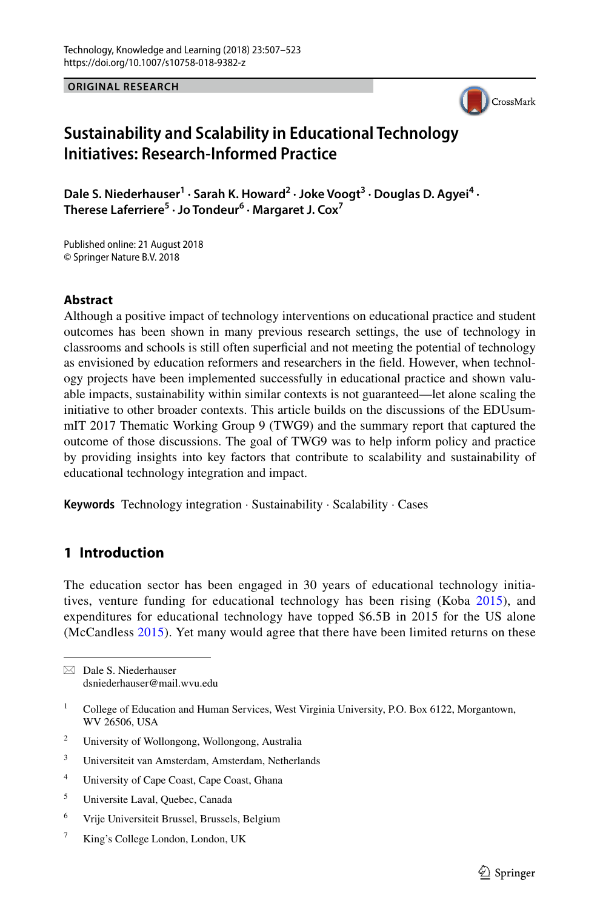**ORIGINAL RESEARCH**



## **Sustainability and Scalability in Educational Technology Initiatives: Research‑Informed Practice**

Dale S. Niederhauser<sup>1</sup> · Sarah K. Howard<sup>2</sup> · Joke Voogt<sup>3</sup> · Douglas D. Agyei<sup>4</sup> · **Therese Laferriere5 · Jo Tondeur6 · Margaret J. Cox7**

Published online: 21 August 2018 © Springer Nature B.V. 2018

#### **Abstract**

Although a positive impact of technology interventions on educational practice and student outcomes has been shown in many previous research settings, the use of technology in classrooms and schools is still often superfcial and not meeting the potential of technology as envisioned by education reformers and researchers in the feld. However, when technology projects have been implemented successfully in educational practice and shown valuable impacts, sustainability within similar contexts is not guaranteed—let alone scaling the initiative to other broader contexts. This article builds on the discussions of the EDUsummIT 2017 Thematic Working Group 9 (TWG9) and the summary report that captured the outcome of those discussions. The goal of TWG9 was to help inform policy and practice by providing insights into key factors that contribute to scalability and sustainability of educational technology integration and impact.

**Keywords** Technology integration · Sustainability · Scalability · Cases

#### **1 Introduction**

The education sector has been engaged in 30 years of educational technology initiatives, venture funding for educational technology has been rising (Koba [2015](#page-17-0)), and expenditures for educational technology have topped \$6.5B in 2015 for the US alone (McCandless [2015](#page-17-1)). Yet many would agree that there have been limited returns on these

 $\boxtimes$  Dale S. Niederhauser dsniederhauser@mail.wvu.edu

- <sup>2</sup> University of Wollongong, Wollongong, Australia
- <sup>3</sup> Universiteit van Amsterdam, Amsterdam, Netherlands
- <sup>4</sup> University of Cape Coast, Cape Coast, Ghana
- <sup>5</sup> Universite Laval, Quebec, Canada
- <sup>6</sup> Vrije Universiteit Brussel, Brussels, Belgium
- <sup>7</sup> King's College London, London, UK

<sup>&</sup>lt;sup>1</sup> College of Education and Human Services, West Virginia University, P.O. Box 6122, Morgantown, WV 26506, USA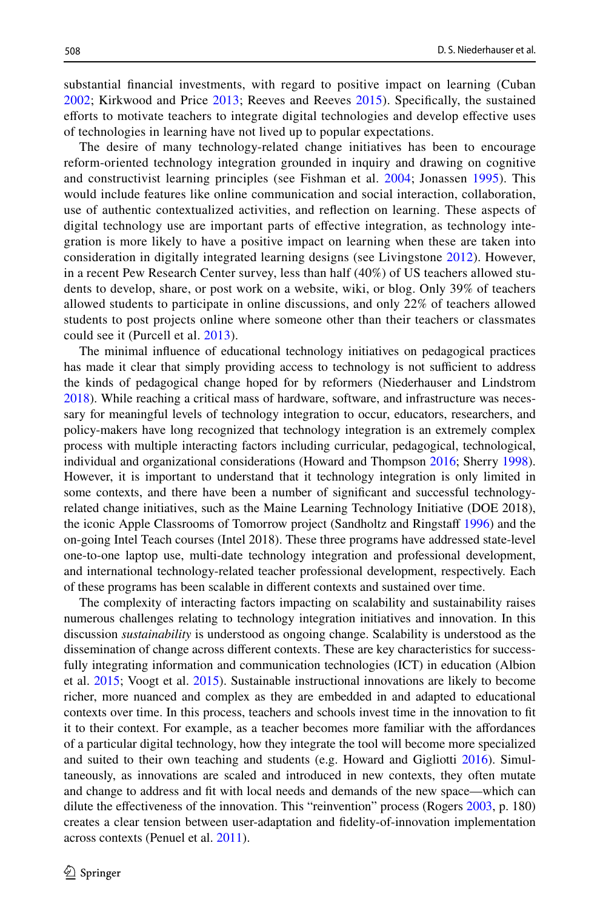substantial fnancial investments, with regard to positive impact on learning (Cuban [2002](#page-16-0); Kirkwood and Price [2013](#page-17-2); Reeves and Reeves [2015](#page-18-0)). Specifcally, the sustained eforts to motivate teachers to integrate digital technologies and develop efective uses of technologies in learning have not lived up to popular expectations.

The desire of many technology-related change initiatives has been to encourage reform-oriented technology integration grounded in inquiry and drawing on cognitive and constructivist learning principles (see Fishman et al. [2004](#page-17-3); Jonassen [1995\)](#page-17-4). This would include features like online communication and social interaction, collaboration, use of authentic contextualized activities, and refection on learning. These aspects of digital technology use are important parts of efective integration, as technology integration is more likely to have a positive impact on learning when these are taken into consideration in digitally integrated learning designs (see Livingstone [2012\)](#page-17-5). However, in a recent Pew Research Center survey, less than half (40%) of US teachers allowed students to develop, share, or post work on a website, wiki, or blog. Only 39% of teachers allowed students to participate in online discussions, and only 22% of teachers allowed students to post projects online where someone other than their teachers or classmates could see it (Purcell et al. [2013](#page-18-1)).

The minimal infuence of educational technology initiatives on pedagogical practices has made it clear that simply providing access to technology is not sufficient to address the kinds of pedagogical change hoped for by reformers (Niederhauser and Lindstrom [2018\)](#page-17-6). While reaching a critical mass of hardware, software, and infrastructure was necessary for meaningful levels of technology integration to occur, educators, researchers, and policy-makers have long recognized that technology integration is an extremely complex process with multiple interacting factors including curricular, pedagogical, technological, individual and organizational considerations (Howard and Thompson [2016](#page-17-7); Sherry [1998](#page-18-2)). However, it is important to understand that it technology integration is only limited in some contexts, and there have been a number of signifcant and successful technologyrelated change initiatives, such as the Maine Learning Technology Initiative (DOE 2018), the iconic Apple Classrooms of Tomorrow project (Sandholtz and Ringstaff [1996\)](#page-18-3) and the on-going Intel Teach courses (Intel 2018). These three programs have addressed state-level one-to-one laptop use, multi-date technology integration and professional development, and international technology-related teacher professional development, respectively. Each of these programs has been scalable in diferent contexts and sustained over time.

The complexity of interacting factors impacting on scalability and sustainability raises numerous challenges relating to technology integration initiatives and innovation. In this discussion *sustainability* is understood as ongoing change. Scalability is understood as the dissemination of change across diferent contexts. These are key characteristics for successfully integrating information and communication technologies (ICT) in education (Albion et al. [2015;](#page-16-1) Voogt et al. [2015\)](#page-18-4). Sustainable instructional innovations are likely to become richer, more nuanced and complex as they are embedded in and adapted to educational contexts over time. In this process, teachers and schools invest time in the innovation to ft it to their context. For example, as a teacher becomes more familiar with the afordances of a particular digital technology, how they integrate the tool will become more specialized and suited to their own teaching and students (e.g. Howard and Gigliotti [2016](#page-17-8)). Simultaneously, as innovations are scaled and introduced in new contexts, they often mutate and change to address and ft with local needs and demands of the new space—which can dilute the efectiveness of the innovation. This "reinvention" process (Rogers [2003,](#page-18-5) p. 180) creates a clear tension between user-adaptation and fdelity-of-innovation implementation across contexts (Penuel et al. [2011\)](#page-18-6).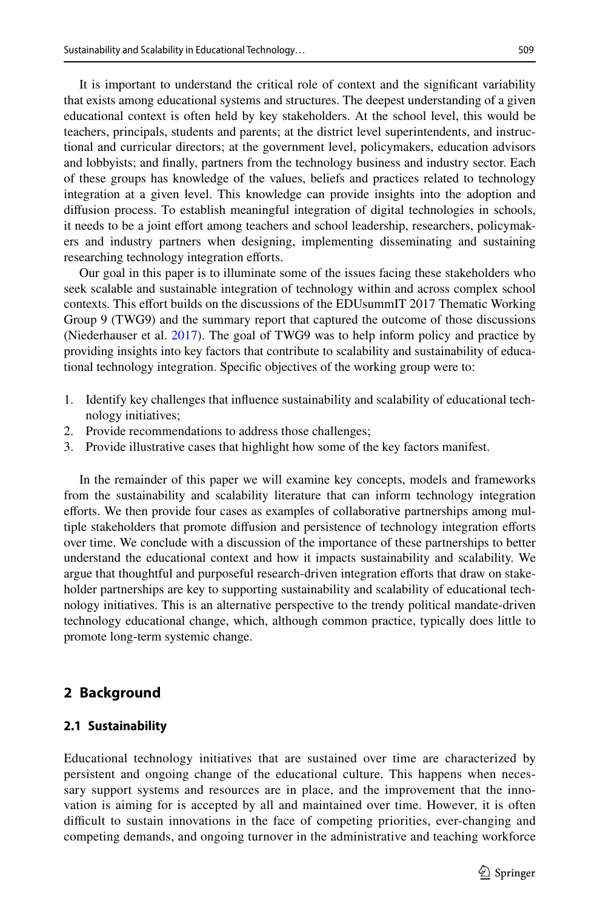It is important to understand the critical role of context and the signifcant variability that exists among educational systems and structures. The deepest understanding of a given educational context is often held by key stakeholders. At the school level, this would be teachers, principals, students and parents; at the district level superintendents, and instructional and curricular directors; at the government level, policymakers, education advisors and lobbyists; and fnally, partners from the technology business and industry sector. Each of these groups has knowledge of the values, beliefs and practices related to technology integration at a given level. This knowledge can provide insights into the adoption and difusion process. To establish meaningful integration of digital technologies in schools, it needs to be a joint efort among teachers and school leadership, researchers, policymakers and industry partners when designing, implementing disseminating and sustaining researching technology integration efforts.

Our goal in this paper is to illuminate some of the issues facing these stakeholders who seek scalable and sustainable integration of technology within and across complex school contexts. This efort builds on the discussions of the EDUsummIT 2017 Thematic Working Group 9 (TWG9) and the summary report that captured the outcome of those discussions (Niederhauser et al. [2017\)](#page-18-7). The goal of TWG9 was to help inform policy and practice by providing insights into key factors that contribute to scalability and sustainability of educational technology integration. Specifc objectives of the working group were to:

- 1. Identify key challenges that infuence sustainability and scalability of educational technology initiatives;
- 2. Provide recommendations to address those challenges;
- 3. Provide illustrative cases that highlight how some of the key factors manifest.

In the remainder of this paper we will examine key concepts, models and frameworks from the sustainability and scalability literature that can inform technology integration efforts. We then provide four cases as examples of collaborative partnerships among multiple stakeholders that promote difusion and persistence of technology integration eforts over time. We conclude with a discussion of the importance of these partnerships to better understand the educational context and how it impacts sustainability and scalability. We argue that thoughtful and purposeful research-driven integration eforts that draw on stakeholder partnerships are key to supporting sustainability and scalability of educational technology initiatives. This is an alternative perspective to the trendy political mandate-driven technology educational change, which, although common practice, typically does little to promote long-term systemic change.

#### **2 Background**

#### **2.1 Sustainability**

Educational technology initiatives that are sustained over time are characterized by persistent and ongoing change of the educational culture. This happens when necessary support systems and resources are in place, and the improvement that the innovation is aiming for is accepted by all and maintained over time. However, it is often difcult to sustain innovations in the face of competing priorities, ever-changing and competing demands, and ongoing turnover in the administrative and teaching workforce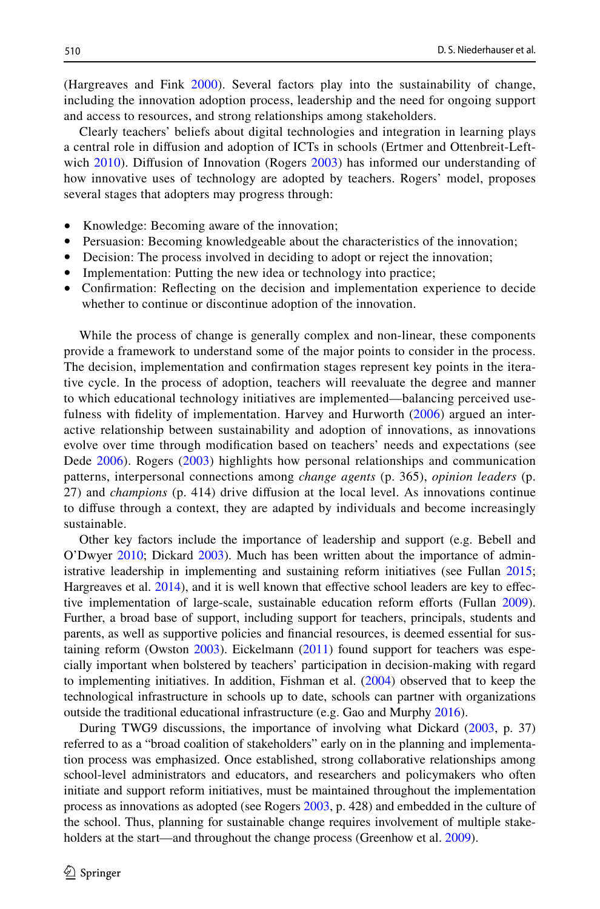(Hargreaves and Fink [2000\)](#page-17-9). Several factors play into the sustainability of change, including the innovation adoption process, leadership and the need for ongoing support and access to resources, and strong relationships among stakeholders.

Clearly teachers' beliefs about digital technologies and integration in learning plays a central role in difusion and adoption of ICTs in schools (Ertmer and Ottenbreit-Left-wich [2010](#page-17-10)). Diffusion of Innovation (Rogers [2003\)](#page-18-5) has informed our understanding of how innovative uses of technology are adopted by teachers. Rogers' model, proposes several stages that adopters may progress through:

- Knowledge: Becoming aware of the innovation;
- Persuasion: Becoming knowledgeable about the characteristics of the innovation;
- Decision: The process involved in deciding to adopt or reject the innovation;
- Implementation: Putting the new idea or technology into practice;
- Confrmation: Refecting on the decision and implementation experience to decide whether to continue or discontinue adoption of the innovation.

While the process of change is generally complex and non-linear, these components provide a framework to understand some of the major points to consider in the process. The decision, implementation and confrmation stages represent key points in the iterative cycle. In the process of adoption, teachers will reevaluate the degree and manner to which educational technology initiatives are implemented—balancing perceived usefulness with fdelity of implementation. Harvey and Hurworth ([2006\)](#page-17-11) argued an interactive relationship between sustainability and adoption of innovations, as innovations evolve over time through modifcation based on teachers' needs and expectations (see Dede [2006](#page-16-2)). Rogers ([2003\)](#page-18-5) highlights how personal relationships and communication patterns, interpersonal connections among *change agents* (p. 365), *opinion leaders* (p. 27) and *champions* (p. 414) drive difusion at the local level. As innovations continue to difuse through a context, they are adapted by individuals and become increasingly sustainable.

Other key factors include the importance of leadership and support (e.g. Bebell and O'Dwyer [2010](#page-16-3); Dickard [2003](#page-17-12)). Much has been written about the importance of administrative leadership in implementing and sustaining reform initiatives (see Fullan [2015;](#page-17-13) Hargreaves et al. [2014\)](#page-17-14), and it is well known that effective school leaders are key to effective implementation of large-scale, sustainable education reform eforts (Fullan [2009](#page-17-15)). Further, a broad base of support, including support for teachers, principals, students and parents, as well as supportive policies and fnancial resources, is deemed essential for sustaining reform (Owston [2003](#page-18-8)). Eickelmann [\(2011](#page-17-16)) found support for teachers was especially important when bolstered by teachers' participation in decision-making with regard to implementing initiatives. In addition, Fishman et al. ([2004\)](#page-17-3) observed that to keep the technological infrastructure in schools up to date, schools can partner with organizations outside the traditional educational infrastructure (e.g. Gao and Murphy [2016](#page-17-17)).

During TWG9 discussions, the importance of involving what Dickard [\(2003](#page-17-12), p. 37) referred to as a "broad coalition of stakeholders" early on in the planning and implementation process was emphasized. Once established, strong collaborative relationships among school-level administrators and educators, and researchers and policymakers who often initiate and support reform initiatives, must be maintained throughout the implementation process as innovations as adopted (see Rogers [2003,](#page-18-5) p. 428) and embedded in the culture of the school. Thus, planning for sustainable change requires involvement of multiple stake-holders at the start—and throughout the change process (Greenhow et al. [2009](#page-17-18)).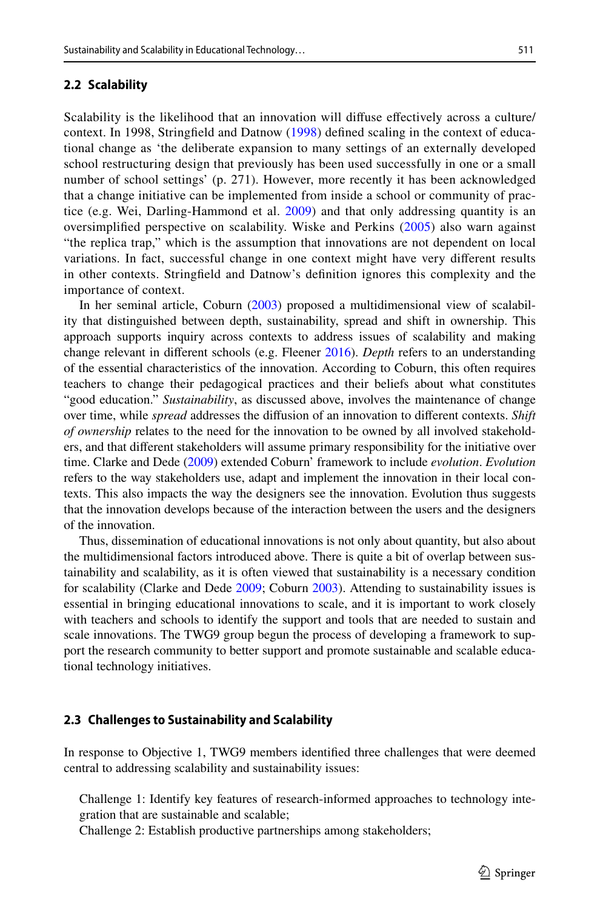Scalability is the likelihood that an innovation will difuse efectively across a culture/ context. In 1998, Stringfeld and Datnow ([1998](#page-18-9)) defned scaling in the context of educational change as 'the deliberate expansion to many settings of an externally developed school restructuring design that previously has been used successfully in one or a small number of school settings' (p. 271). However, more recently it has been acknowledged that a change initiative can be implemented from inside a school or community of practice (e.g. Wei, Darling-Hammond et al. [2009](#page-16-4)) and that only addressing quantity is an oversimplifed perspective on scalability. Wiske and Perkins ([2005\)](#page-18-10) also warn against "the replica trap," which is the assumption that innovations are not dependent on local variations. In fact, successful change in one context might have very diferent results in other contexts. Stringfeld and Datnow's defnition ignores this complexity and the importance of context.

In her seminal article, Coburn [\(2003](#page-16-5)) proposed a multidimensional view of scalability that distinguished between depth, sustainability, spread and shift in ownership. This approach supports inquiry across contexts to address issues of scalability and making change relevant in diferent schools (e.g. Fleener [2016](#page-17-19)). *Depth* refers to an understanding of the essential characteristics of the innovation. According to Coburn, this often requires teachers to change their pedagogical practices and their beliefs about what constitutes "good education." *Sustainability*, as discussed above, involves the maintenance of change over time, while *spread* addresses the difusion of an innovation to diferent contexts. *Shift of ownership* relates to the need for the innovation to be owned by all involved stakeholders, and that diferent stakeholders will assume primary responsibility for the initiative over time. Clarke and Dede ([2009\)](#page-16-6) extended Coburn' framework to include *evolution*. *Evolution* refers to the way stakeholders use, adapt and implement the innovation in their local contexts. This also impacts the way the designers see the innovation. Evolution thus suggests that the innovation develops because of the interaction between the users and the designers of the innovation.

Thus, dissemination of educational innovations is not only about quantity, but also about the multidimensional factors introduced above. There is quite a bit of overlap between sustainability and scalability, as it is often viewed that sustainability is a necessary condition for scalability (Clarke and Dede [2009;](#page-16-6) Coburn [2003\)](#page-16-5). Attending to sustainability issues is essential in bringing educational innovations to scale, and it is important to work closely with teachers and schools to identify the support and tools that are needed to sustain and scale innovations. The TWG9 group begun the process of developing a framework to support the research community to better support and promote sustainable and scalable educational technology initiatives.

#### **2.3 Challenges to Sustainability and Scalability**

In response to Objective 1, TWG9 members identifed three challenges that were deemed central to addressing scalability and sustainability issues:

Challenge 1: Identify key features of research-informed approaches to technology integration that are sustainable and scalable;

Challenge 2: Establish productive partnerships among stakeholders;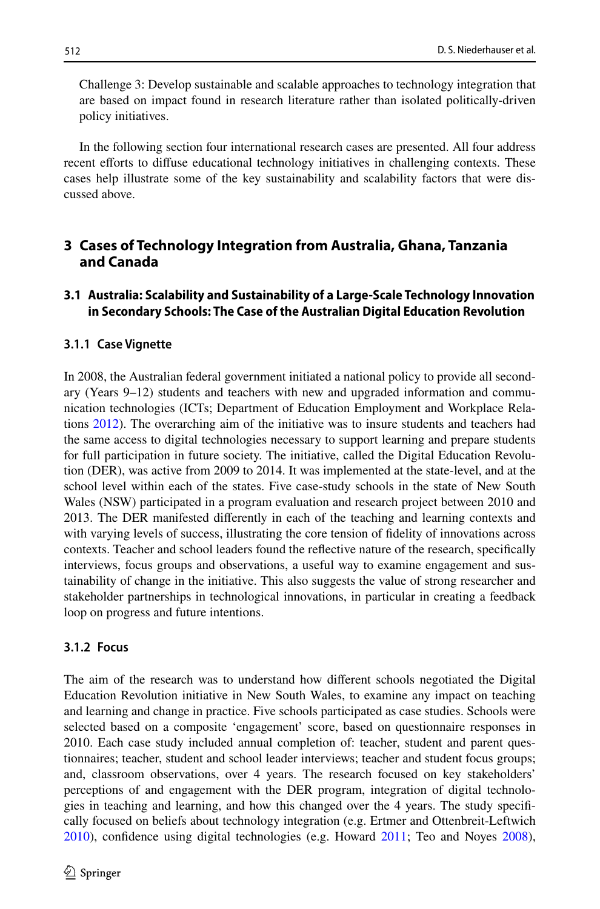Challenge 3: Develop sustainable and scalable approaches to technology integration that are based on impact found in research literature rather than isolated politically-driven policy initiatives.

In the following section four international research cases are presented. All four address recent efforts to diffuse educational technology initiatives in challenging contexts. These cases help illustrate some of the key sustainability and scalability factors that were discussed above.

#### **3 Cases of Technology Integration from Australia, Ghana, Tanzania and Canada**

#### **3.1 Australia: Scalability and Sustainability of a Large‑Scale Technology Innovation in Secondary Schools: The Case of the Australian Digital Education Revolution**

#### **3.1.1 Case Vignette**

In 2008, the Australian federal government initiated a national policy to provide all secondary (Years 9–12) students and teachers with new and upgraded information and communication technologies (ICTs; Department of Education Employment and Workplace Relations [2012](#page-16-7)). The overarching aim of the initiative was to insure students and teachers had the same access to digital technologies necessary to support learning and prepare students for full participation in future society. The initiative, called the Digital Education Revolution (DER), was active from 2009 to 2014. It was implemented at the state-level, and at the school level within each of the states. Five case-study schools in the state of New South Wales (NSW) participated in a program evaluation and research project between 2010 and 2013. The DER manifested diferently in each of the teaching and learning contexts and with varying levels of success, illustrating the core tension of fdelity of innovations across contexts. Teacher and school leaders found the refective nature of the research, specifcally interviews, focus groups and observations, a useful way to examine engagement and sustainability of change in the initiative. This also suggests the value of strong researcher and stakeholder partnerships in technological innovations, in particular in creating a feedback loop on progress and future intentions.

#### **3.1.2 Focus**

The aim of the research was to understand how diferent schools negotiated the Digital Education Revolution initiative in New South Wales, to examine any impact on teaching and learning and change in practice. Five schools participated as case studies. Schools were selected based on a composite 'engagement' score, based on questionnaire responses in 2010. Each case study included annual completion of: teacher, student and parent questionnaires; teacher, student and school leader interviews; teacher and student focus groups; and, classroom observations, over 4 years. The research focused on key stakeholders' perceptions of and engagement with the DER program, integration of digital technologies in teaching and learning, and how this changed over the 4 years. The study specifcally focused on beliefs about technology integration (e.g. Ertmer and Ottenbreit-Leftwich [2010\)](#page-17-10), confdence using digital technologies (e.g. Howard [2011](#page-17-20); Teo and Noyes [2008](#page-18-11)),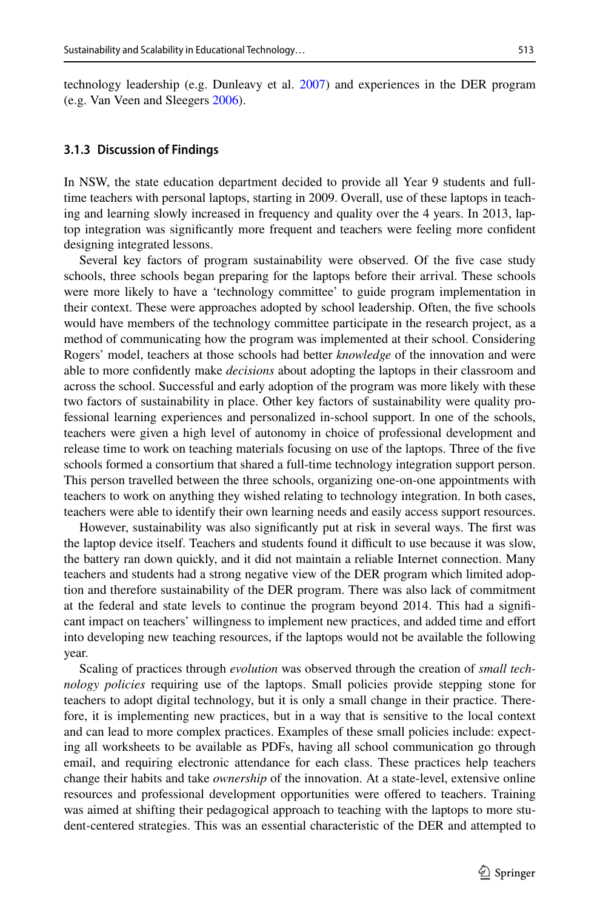technology leadership (e.g. Dunleavy et al. [2007\)](#page-17-21) and experiences in the DER program (e.g. Van Veen and Sleegers [2006\)](#page-18-12).

#### **3.1.3 Discussion of Findings**

In NSW, the state education department decided to provide all Year 9 students and fulltime teachers with personal laptops, starting in 2009. Overall, use of these laptops in teaching and learning slowly increased in frequency and quality over the 4 years. In 2013, laptop integration was signifcantly more frequent and teachers were feeling more confdent designing integrated lessons.

Several key factors of program sustainability were observed. Of the five case study schools, three schools began preparing for the laptops before their arrival. These schools were more likely to have a 'technology committee' to guide program implementation in their context. These were approaches adopted by school leadership. Often, the fve schools would have members of the technology committee participate in the research project, as a method of communicating how the program was implemented at their school. Considering Rogers' model, teachers at those schools had better *knowledge* of the innovation and were able to more confdently make *decisions* about adopting the laptops in their classroom and across the school. Successful and early adoption of the program was more likely with these two factors of sustainability in place. Other key factors of sustainability were quality professional learning experiences and personalized in-school support. In one of the schools, teachers were given a high level of autonomy in choice of professional development and release time to work on teaching materials focusing on use of the laptops. Three of the fve schools formed a consortium that shared a full-time technology integration support person. This person travelled between the three schools, organizing one-on-one appointments with teachers to work on anything they wished relating to technology integration. In both cases, teachers were able to identify their own learning needs and easily access support resources.

However, sustainability was also signifcantly put at risk in several ways. The frst was the laptop device itself. Teachers and students found it difficult to use because it was slow, the battery ran down quickly, and it did not maintain a reliable Internet connection. Many teachers and students had a strong negative view of the DER program which limited adoption and therefore sustainability of the DER program. There was also lack of commitment at the federal and state levels to continue the program beyond 2014. This had a signifcant impact on teachers' willingness to implement new practices, and added time and efort into developing new teaching resources, if the laptops would not be available the following year.

Scaling of practices through *evolution* was observed through the creation of *small technology policies* requiring use of the laptops. Small policies provide stepping stone for teachers to adopt digital technology, but it is only a small change in their practice. Therefore, it is implementing new practices, but in a way that is sensitive to the local context and can lead to more complex practices. Examples of these small policies include: expecting all worksheets to be available as PDFs, having all school communication go through email, and requiring electronic attendance for each class. These practices help teachers change their habits and take *ownership* of the innovation. At a state-level, extensive online resources and professional development opportunities were ofered to teachers. Training was aimed at shifting their pedagogical approach to teaching with the laptops to more student-centered strategies. This was an essential characteristic of the DER and attempted to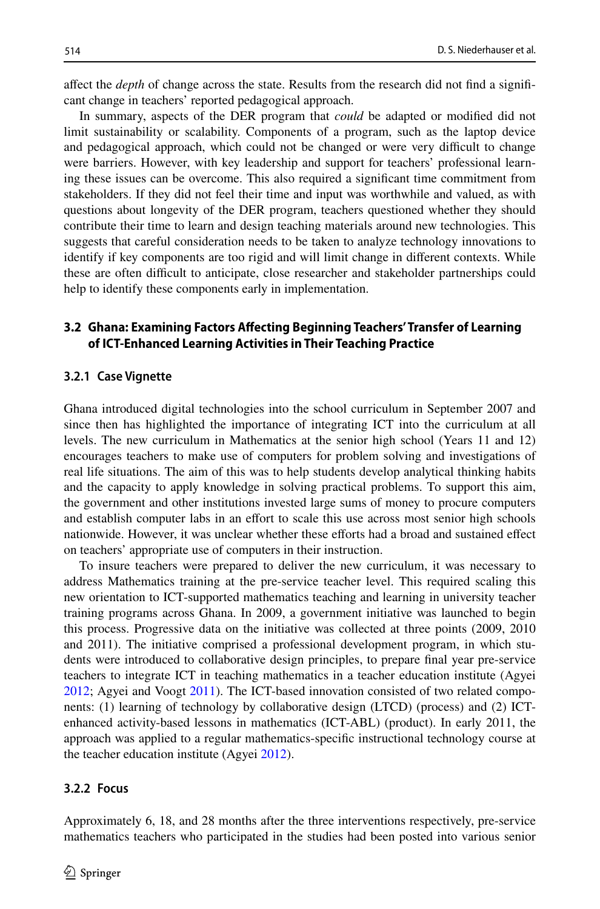afect the *depth* of change across the state. Results from the research did not fnd a signifcant change in teachers' reported pedagogical approach.

In summary, aspects of the DER program that *could* be adapted or modifed did not limit sustainability or scalability. Components of a program, such as the laptop device and pedagogical approach, which could not be changed or were very difficult to change were barriers. However, with key leadership and support for teachers' professional learning these issues can be overcome. This also required a signifcant time commitment from stakeholders. If they did not feel their time and input was worthwhile and valued, as with questions about longevity of the DER program, teachers questioned whether they should contribute their time to learn and design teaching materials around new technologies. This suggests that careful consideration needs to be taken to analyze technology innovations to identify if key components are too rigid and will limit change in diferent contexts. While these are often difcult to anticipate, close researcher and stakeholder partnerships could help to identify these components early in implementation.

#### **3.2 Ghana: Examining Factors Afecting Beginning Teachers' Transfer of Learning of ICT‑Enhanced Learning Activities in Their Teaching Practice**

#### **3.2.1 Case Vignette**

Ghana introduced digital technologies into the school curriculum in September 2007 and since then has highlighted the importance of integrating ICT into the curriculum at all levels. The new curriculum in Mathematics at the senior high school (Years 11 and 12) encourages teachers to make use of computers for problem solving and investigations of real life situations. The aim of this was to help students develop analytical thinking habits and the capacity to apply knowledge in solving practical problems. To support this aim, the government and other institutions invested large sums of money to procure computers and establish computer labs in an effort to scale this use across most senior high schools nationwide. However, it was unclear whether these eforts had a broad and sustained efect on teachers' appropriate use of computers in their instruction.

To insure teachers were prepared to deliver the new curriculum, it was necessary to address Mathematics training at the pre-service teacher level. This required scaling this new orientation to ICT-supported mathematics teaching and learning in university teacher training programs across Ghana. In 2009, a government initiative was launched to begin this process. Progressive data on the initiative was collected at three points (2009, 2010 and 2011). The initiative comprised a professional development program, in which students were introduced to collaborative design principles, to prepare fnal year pre-service teachers to integrate ICT in teaching mathematics in a teacher education institute (Agyei [2012;](#page-16-8) Agyei and Voogt [2011](#page-16-9)). The ICT-based innovation consisted of two related components: (1) learning of technology by collaborative design (LTCD) (process) and (2) ICTenhanced activity-based lessons in mathematics (ICT-ABL) (product). In early 2011, the approach was applied to a regular mathematics-specifc instructional technology course at the teacher education institute (Agyei [2012](#page-16-8)).

#### **3.2.2 Focus**

Approximately 6, 18, and 28 months after the three interventions respectively, pre-service mathematics teachers who participated in the studies had been posted into various senior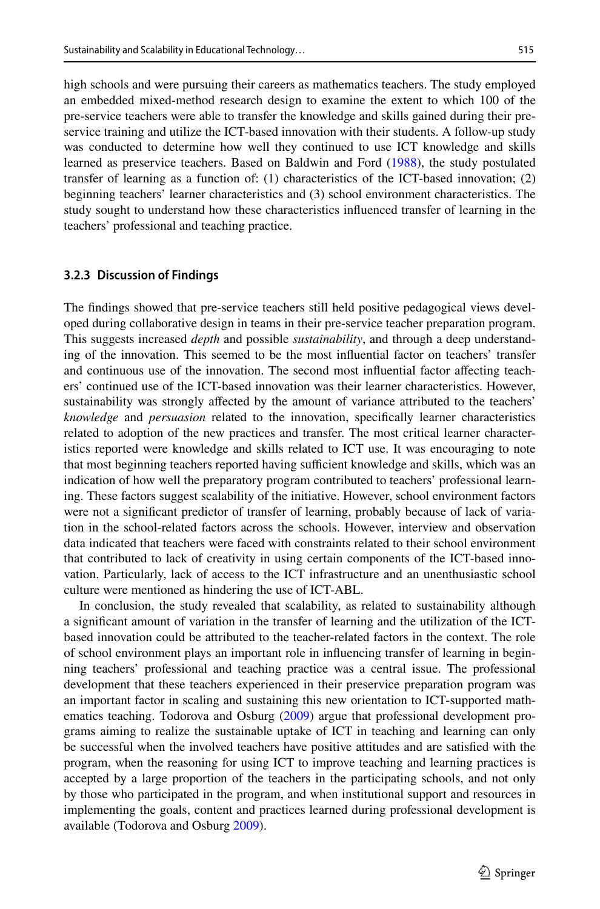high schools and were pursuing their careers as mathematics teachers. The study employed an embedded mixed-method research design to examine the extent to which 100 of the pre-service teachers were able to transfer the knowledge and skills gained during their preservice training and utilize the ICT-based innovation with their students. A follow-up study was conducted to determine how well they continued to use ICT knowledge and skills learned as preservice teachers. Based on Baldwin and Ford [\(1988](#page-16-10)), the study postulated transfer of learning as a function of: (1) characteristics of the ICT-based innovation; (2) beginning teachers' learner characteristics and (3) school environment characteristics. The study sought to understand how these characteristics infuenced transfer of learning in the teachers' professional and teaching practice.

#### **3.2.3 Discussion of Findings**

The fndings showed that pre-service teachers still held positive pedagogical views developed during collaborative design in teams in their pre-service teacher preparation program. This suggests increased *depth* and possible *sustainability*, and through a deep understanding of the innovation. This seemed to be the most infuential factor on teachers' transfer and continuous use of the innovation. The second most infuential factor afecting teachers' continued use of the ICT-based innovation was their learner characteristics. However, sustainability was strongly afected by the amount of variance attributed to the teachers' *knowledge* and *persuasion* related to the innovation, specifcally learner characteristics related to adoption of the new practices and transfer. The most critical learner characteristics reported were knowledge and skills related to ICT use. It was encouraging to note that most beginning teachers reported having sufficient knowledge and skills, which was an indication of how well the preparatory program contributed to teachers' professional learning. These factors suggest scalability of the initiative. However, school environment factors were not a signifcant predictor of transfer of learning, probably because of lack of variation in the school-related factors across the schools. However, interview and observation data indicated that teachers were faced with constraints related to their school environment that contributed to lack of creativity in using certain components of the ICT-based innovation. Particularly, lack of access to the ICT infrastructure and an unenthusiastic school culture were mentioned as hindering the use of ICT-ABL.

In conclusion, the study revealed that scalability, as related to sustainability although a signifcant amount of variation in the transfer of learning and the utilization of the ICTbased innovation could be attributed to the teacher-related factors in the context. The role of school environment plays an important role in infuencing transfer of learning in beginning teachers' professional and teaching practice was a central issue. The professional development that these teachers experienced in their preservice preparation program was an important factor in scaling and sustaining this new orientation to ICT-supported mathematics teaching. Todorova and Osburg ([2009\)](#page-18-13) argue that professional development programs aiming to realize the sustainable uptake of ICT in teaching and learning can only be successful when the involved teachers have positive attitudes and are satisfed with the program, when the reasoning for using ICT to improve teaching and learning practices is accepted by a large proportion of the teachers in the participating schools, and not only by those who participated in the program, and when institutional support and resources in implementing the goals, content and practices learned during professional development is available (Todorova and Osburg [2009\)](#page-18-13).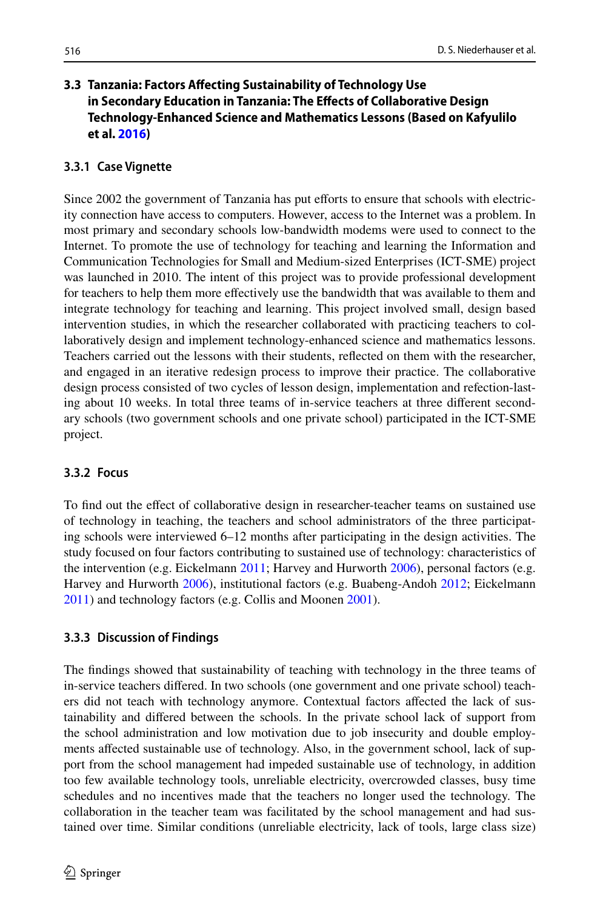#### **3.3 Tanzania: Factors Afecting Sustainability of Technology Use in Secondary Education in Tanzania: The Efects of Collaborative Design Technology‑Enhanced Science and Mathematics Lessons (Based on Kafyulilo et al. [2016](#page-17-22))**

#### **3.3.1 Case Vignette**

Since 2002 the government of Tanzania has put efforts to ensure that schools with electricity connection have access to computers. However, access to the Internet was a problem. In most primary and secondary schools low-bandwidth modems were used to connect to the Internet. To promote the use of technology for teaching and learning the Information and Communication Technologies for Small and Medium-sized Enterprises (ICT-SME) project was launched in 2010. The intent of this project was to provide professional development for teachers to help them more efectively use the bandwidth that was available to them and integrate technology for teaching and learning. This project involved small, design based intervention studies, in which the researcher collaborated with practicing teachers to collaboratively design and implement technology-enhanced science and mathematics lessons. Teachers carried out the lessons with their students, refected on them with the researcher, and engaged in an iterative redesign process to improve their practice. The collaborative design process consisted of two cycles of lesson design, implementation and refection-lasting about 10 weeks. In total three teams of in-service teachers at three diferent secondary schools (two government schools and one private school) participated in the ICT-SME project.

#### **3.3.2 Focus**

To fnd out the efect of collaborative design in researcher-teacher teams on sustained use of technology in teaching, the teachers and school administrators of the three participating schools were interviewed 6–12 months after participating in the design activities. The study focused on four factors contributing to sustained use of technology: characteristics of the intervention (e.g. Eickelmann  $2011$ ; Harvey and Hurworth  $2006$ ), personal factors (e.g. Harvey and Hurworth [2006\)](#page-17-11), institutional factors (e.g. Buabeng-Andoh [2012](#page-16-11); Eickelmann [2011\)](#page-17-16) and technology factors (e.g. Collis and Moonen [2001](#page-16-12)).

#### **3.3.3 Discussion of Findings**

The fndings showed that sustainability of teaching with technology in the three teams of in-service teachers difered. In two schools (one government and one private school) teachers did not teach with technology anymore. Contextual factors afected the lack of sustainability and difered between the schools. In the private school lack of support from the school administration and low motivation due to job insecurity and double employments afected sustainable use of technology. Also, in the government school, lack of support from the school management had impeded sustainable use of technology, in addition too few available technology tools, unreliable electricity, overcrowded classes, busy time schedules and no incentives made that the teachers no longer used the technology. The collaboration in the teacher team was facilitated by the school management and had sustained over time. Similar conditions (unreliable electricity, lack of tools, large class size)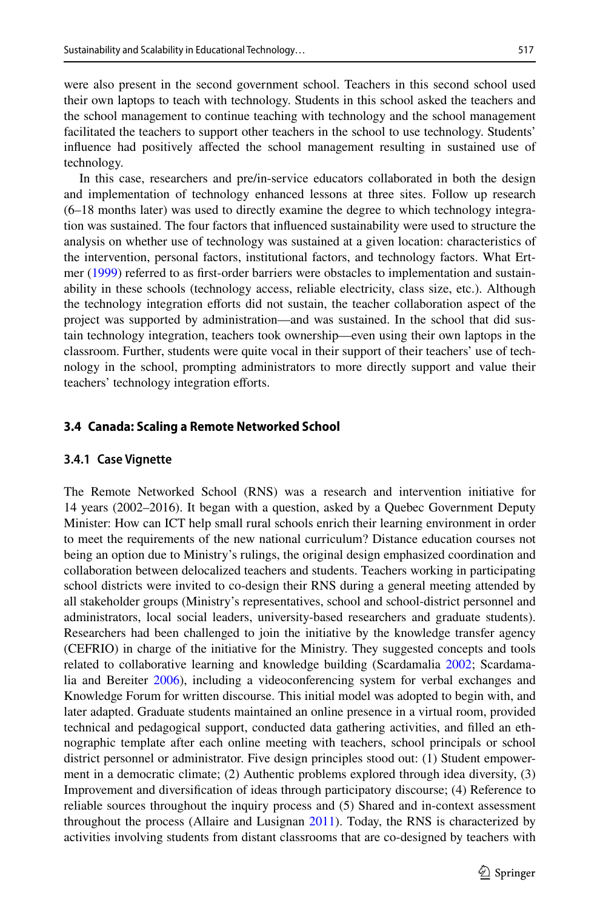were also present in the second government school. Teachers in this second school used their own laptops to teach with technology. Students in this school asked the teachers and the school management to continue teaching with technology and the school management facilitated the teachers to support other teachers in the school to use technology. Students' infuence had positively afected the school management resulting in sustained use of technology.

In this case, researchers and pre/in-service educators collaborated in both the design and implementation of technology enhanced lessons at three sites. Follow up research (6–18 months later) was used to directly examine the degree to which technology integration was sustained. The four factors that infuenced sustainability were used to structure the analysis on whether use of technology was sustained at a given location: characteristics of the intervention, personal factors, institutional factors, and technology factors. What Ertmer [\(1999](#page-17-23)) referred to as frst-order barriers were obstacles to implementation and sustainability in these schools (technology access, reliable electricity, class size, etc.). Although the technology integration eforts did not sustain, the teacher collaboration aspect of the project was supported by administration—and was sustained. In the school that did sustain technology integration, teachers took ownership—even using their own laptops in the classroom. Further, students were quite vocal in their support of their teachers' use of technology in the school, prompting administrators to more directly support and value their teachers' technology integration efforts.

#### **3.4 Canada: Scaling a Remote Networked School**

#### **3.4.1 Case Vignette**

The Remote Networked School (RNS) was a research and intervention initiative for 14 years (2002–2016). It began with a question, asked by a Quebec Government Deputy Minister: How can ICT help small rural schools enrich their learning environment in order to meet the requirements of the new national curriculum? Distance education courses not being an option due to Ministry's rulings, the original design emphasized coordination and collaboration between delocalized teachers and students. Teachers working in participating school districts were invited to co-design their RNS during a general meeting attended by all stakeholder groups (Ministry's representatives, school and school-district personnel and administrators, local social leaders, university-based researchers and graduate students). Researchers had been challenged to join the initiative by the knowledge transfer agency (CEFRIO) in charge of the initiative for the Ministry. They suggested concepts and tools related to collaborative learning and knowledge building (Scardamalia [2002;](#page-18-14) Scardamalia and Bereiter [2006\)](#page-18-15), including a videoconferencing system for verbal exchanges and Knowledge Forum for written discourse. This initial model was adopted to begin with, and later adapted. Graduate students maintained an online presence in a virtual room, provided technical and pedagogical support, conducted data gathering activities, and flled an ethnographic template after each online meeting with teachers, school principals or school district personnel or administrator. Five design principles stood out: (1) Student empowerment in a democratic climate; (2) Authentic problems explored through idea diversity, (3) Improvement and diversifcation of ideas through participatory discourse; (4) Reference to reliable sources throughout the inquiry process and (5) Shared and in-context assessment throughout the process (Allaire and Lusignan [2011\)](#page-16-13). Today, the RNS is characterized by activities involving students from distant classrooms that are co-designed by teachers with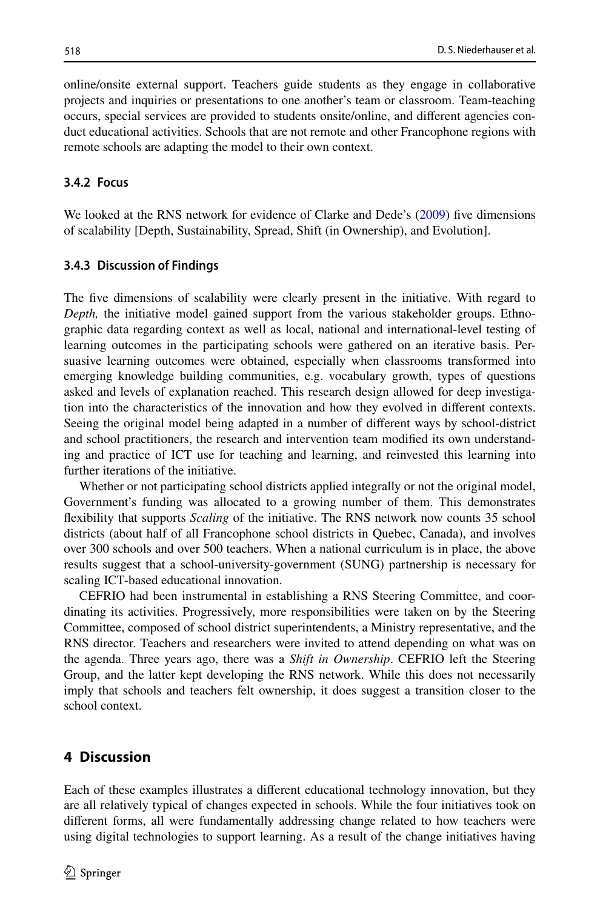online/onsite external support. Teachers guide students as they engage in collaborative projects and inquiries or presentations to one another's team or classroom. Team-teaching occurs, special services are provided to students onsite/online, and diferent agencies conduct educational activities. Schools that are not remote and other Francophone regions with remote schools are adapting the model to their own context.

#### **3.4.2 Focus**

We looked at the RNS network for evidence of Clarke and Dede's [\(2009](#page-16-6)) five dimensions of scalability [Depth, Sustainability, Spread, Shift (in Ownership), and Evolution].

#### **3.4.3 Discussion of Findings**

The fve dimensions of scalability were clearly present in the initiative. With regard to *Depth*, the initiative model gained support from the various stakeholder groups. Ethnographic data regarding context as well as local, national and international-level testing of learning outcomes in the participating schools were gathered on an iterative basis. Persuasive learning outcomes were obtained, especially when classrooms transformed into emerging knowledge building communities, e.g. vocabulary growth, types of questions asked and levels of explanation reached. This research design allowed for deep investigation into the characteristics of the innovation and how they evolved in diferent contexts. Seeing the original model being adapted in a number of diferent ways by school-district and school practitioners, the research and intervention team modifed its own understanding and practice of ICT use for teaching and learning, and reinvested this learning into further iterations of the initiative.

Whether or not participating school districts applied integrally or not the original model, Government's funding was allocated to a growing number of them. This demonstrates fexibility that supports *Scaling* of the initiative. The RNS network now counts 35 school districts (about half of all Francophone school districts in Quebec, Canada), and involves over 300 schools and over 500 teachers. When a national curriculum is in place, the above results suggest that a school-university-government (SUNG) partnership is necessary for scaling ICT-based educational innovation.

CEFRIO had been instrumental in establishing a RNS Steering Committee, and coordinating its activities. Progressively, more responsibilities were taken on by the Steering Committee, composed of school district superintendents, a Ministry representative, and the RNS director. Teachers and researchers were invited to attend depending on what was on the agenda. Three years ago, there was a *Shift in Ownership*. CEFRIO left the Steering Group, and the latter kept developing the RNS network. While this does not necessarily imply that schools and teachers felt ownership, it does suggest a transition closer to the school context.

#### **4 Discussion**

Each of these examples illustrates a diferent educational technology innovation, but they are all relatively typical of changes expected in schools. While the four initiatives took on diferent forms, all were fundamentally addressing change related to how teachers were using digital technologies to support learning. As a result of the change initiatives having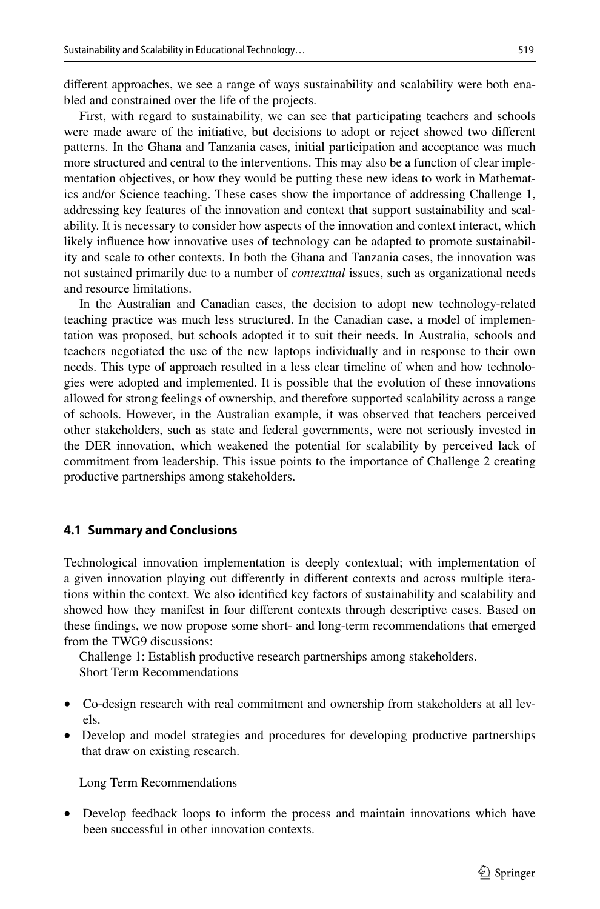diferent approaches, we see a range of ways sustainability and scalability were both enabled and constrained over the life of the projects.

First, with regard to sustainability, we can see that participating teachers and schools were made aware of the initiative, but decisions to adopt or reject showed two diferent patterns. In the Ghana and Tanzania cases, initial participation and acceptance was much more structured and central to the interventions. This may also be a function of clear implementation objectives, or how they would be putting these new ideas to work in Mathematics and/or Science teaching. These cases show the importance of addressing Challenge 1, addressing key features of the innovation and context that support sustainability and scalability. It is necessary to consider how aspects of the innovation and context interact, which likely infuence how innovative uses of technology can be adapted to promote sustainability and scale to other contexts. In both the Ghana and Tanzania cases, the innovation was not sustained primarily due to a number of *contextual* issues, such as organizational needs and resource limitations.

In the Australian and Canadian cases, the decision to adopt new technology-related teaching practice was much less structured. In the Canadian case, a model of implementation was proposed, but schools adopted it to suit their needs. In Australia, schools and teachers negotiated the use of the new laptops individually and in response to their own needs. This type of approach resulted in a less clear timeline of when and how technologies were adopted and implemented. It is possible that the evolution of these innovations allowed for strong feelings of ownership, and therefore supported scalability across a range of schools. However, in the Australian example, it was observed that teachers perceived other stakeholders, such as state and federal governments, were not seriously invested in the DER innovation, which weakened the potential for scalability by perceived lack of commitment from leadership. This issue points to the importance of Challenge 2 creating productive partnerships among stakeholders.

#### **4.1 Summary and Conclusions**

Technological innovation implementation is deeply contextual; with implementation of a given innovation playing out diferently in diferent contexts and across multiple iterations within the context. We also identifed key factors of sustainability and scalability and showed how they manifest in four diferent contexts through descriptive cases. Based on these fndings, we now propose some short- and long-term recommendations that emerged from the TWG9 discussions:

Challenge 1: Establish productive research partnerships among stakeholders. Short Term Recommendations

- Co-design research with real commitment and ownership from stakeholders at all levels.
- Develop and model strategies and procedures for developing productive partnerships that draw on existing research.

Long Term Recommendations

• Develop feedback loops to inform the process and maintain innovations which have been successful in other innovation contexts.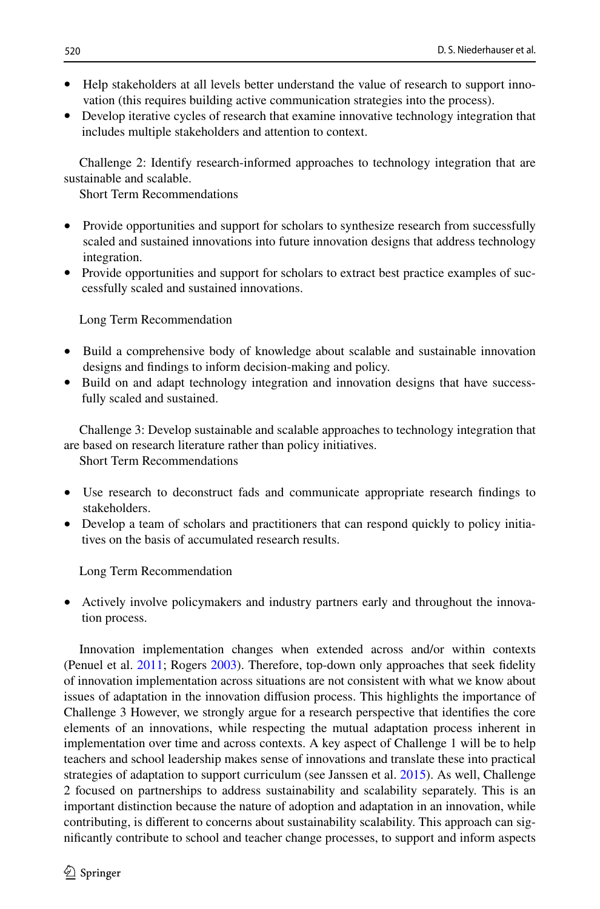- Help stakeholders at all levels better understand the value of research to support innovation (this requires building active communication strategies into the process).
- Develop iterative cycles of research that examine innovative technology integration that includes multiple stakeholders and attention to context.

Challenge 2: Identify research-informed approaches to technology integration that are sustainable and scalable.

Short Term Recommendations

- Provide opportunities and support for scholars to synthesize research from successfully scaled and sustained innovations into future innovation designs that address technology integration.
- Provide opportunities and support for scholars to extract best practice examples of successfully scaled and sustained innovations.

Long Term Recommendation

- Build a comprehensive body of knowledge about scalable and sustainable innovation designs and fndings to inform decision-making and policy.
- Build on and adapt technology integration and innovation designs that have successfully scaled and sustained.

Challenge 3: Develop sustainable and scalable approaches to technology integration that are based on research literature rather than policy initiatives.

Short Term Recommendations

- Use research to deconstruct fads and communicate appropriate research fndings to stakeholders.
- Develop a team of scholars and practitioners that can respond quickly to policy initiatives on the basis of accumulated research results.

Long Term Recommendation

• Actively involve policymakers and industry partners early and throughout the innovation process.

Innovation implementation changes when extended across and/or within contexts (Penuel et al. [2011](#page-18-6); Rogers [2003\)](#page-18-5). Therefore, top-down only approaches that seek fdelity of innovation implementation across situations are not consistent with what we know about issues of adaptation in the innovation difusion process. This highlights the importance of Challenge 3 However, we strongly argue for a research perspective that identifes the core elements of an innovations, while respecting the mutual adaptation process inherent in implementation over time and across contexts. A key aspect of Challenge 1 will be to help teachers and school leadership makes sense of innovations and translate these into practical strategies of adaptation to support curriculum (see Janssen et al. [2015](#page-17-24)). As well, Challenge 2 focused on partnerships to address sustainability and scalability separately. This is an important distinction because the nature of adoption and adaptation in an innovation, while contributing, is diferent to concerns about sustainability scalability. This approach can signifcantly contribute to school and teacher change processes, to support and inform aspects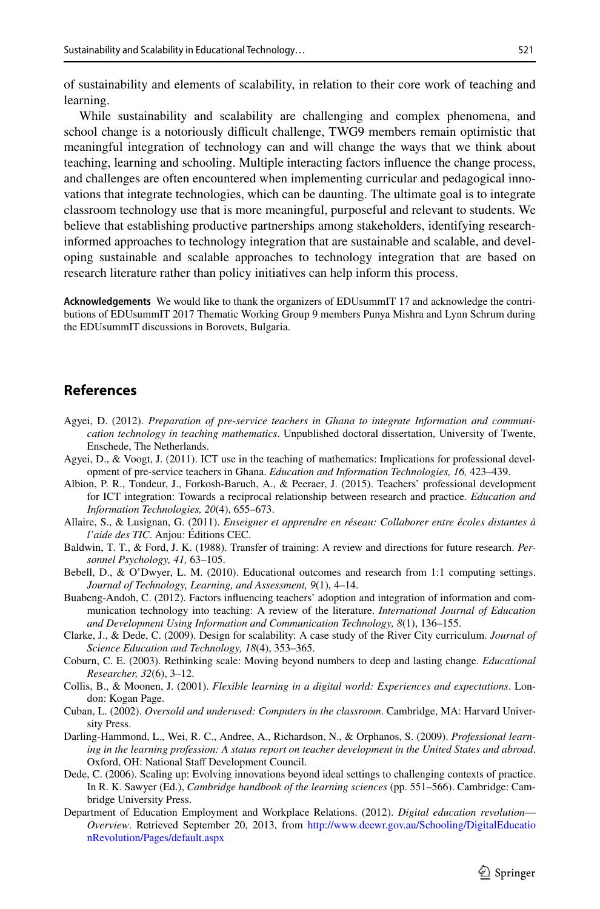of sustainability and elements of scalability, in relation to their core work of teaching and learning.

While sustainability and scalability are challenging and complex phenomena, and school change is a notoriously difficult challenge, TWG9 members remain optimistic that meaningful integration of technology can and will change the ways that we think about teaching, learning and schooling. Multiple interacting factors infuence the change process, and challenges are often encountered when implementing curricular and pedagogical innovations that integrate technologies, which can be daunting. The ultimate goal is to integrate classroom technology use that is more meaningful, purposeful and relevant to students. We believe that establishing productive partnerships among stakeholders, identifying researchinformed approaches to technology integration that are sustainable and scalable, and developing sustainable and scalable approaches to technology integration that are based on research literature rather than policy initiatives can help inform this process.

**Acknowledgements** We would like to thank the organizers of EDUsummIT 17 and acknowledge the contributions of EDUsummIT 2017 Thematic Working Group 9 members Punya Mishra and Lynn Schrum during the EDUsummIT discussions in Borovets, Bulgaria.

#### **References**

- <span id="page-16-8"></span>Agyei, D. (2012). *Preparation of pre*-*service teachers in Ghana to integrate Information and communication technology in teaching mathematics*. Unpublished doctoral dissertation, University of Twente, Enschede, The Netherlands.
- <span id="page-16-9"></span>Agyei, D., & Voogt, J. (2011). ICT use in the teaching of mathematics: Implications for professional development of pre-service teachers in Ghana. *Education and Information Technologies, 16,* 423–439.
- <span id="page-16-1"></span>Albion, P. R., Tondeur, J., Forkosh-Baruch, A., & Peeraer, J. (2015). Teachers' professional development for ICT integration: Towards a reciprocal relationship between research and practice. *Education and Information Technologies, 20*(4), 655–673.
- <span id="page-16-13"></span>Allaire, S., & Lusignan, G. (2011). *Enseigner et apprendre en réseau: Collaborer entre écoles distantes à l'aide des TIC*. Anjou: Éditions CEC.
- <span id="page-16-10"></span>Baldwin, T. T., & Ford, J. K. (1988). Transfer of training: A review and directions for future research. *Personnel Psychology, 41,* 63–105.
- <span id="page-16-3"></span>Bebell, D., & O'Dwyer, L. M. (2010). Educational outcomes and research from 1:1 computing settings. *Journal of Technology, Learning, and Assessment, 9*(1), 4–14.
- <span id="page-16-11"></span>Buabeng-Andoh, C. (2012). Factors infuencing teachers' adoption and integration of information and communication technology into teaching: A review of the literature. *International Journal of Education and Development Using Information and Communication Technology, 8*(1), 136–155.
- <span id="page-16-6"></span>Clarke, J., & Dede, C. (2009). Design for scalability: A case study of the River City curriculum. *Journal of Science Education and Technology, 18*(4), 353–365.
- <span id="page-16-5"></span>Coburn, C. E. (2003). Rethinking scale: Moving beyond numbers to deep and lasting change. *Educational Researcher, 32*(6), 3–12.
- <span id="page-16-12"></span>Collis, B., & Moonen, J. (2001). *Flexible learning in a digital world: Experiences and expectations*. London: Kogan Page.
- <span id="page-16-0"></span>Cuban, L. (2002). *Oversold and underused: Computers in the classroom*. Cambridge, MA: Harvard University Press.
- <span id="page-16-4"></span>Darling-Hammond, L., Wei, R. C., Andree, A., Richardson, N., & Orphanos, S. (2009). *Professional learning in the learning profession: A status report on teacher development in the United States and abroad*. Oxford, OH: National Staff Development Council.
- <span id="page-16-2"></span>Dede, C. (2006). Scaling up: Evolving innovations beyond ideal settings to challenging contexts of practice. In R. K. Sawyer (Ed.), *Cambridge handbook of the learning sciences* (pp. 551–566). Cambridge: Cambridge University Press.
- <span id="page-16-7"></span>Department of Education Employment and Workplace Relations. (2012). *Digital education revolution*— *Overview*. Retrieved September 20, 2013, from [http://www.deewr.gov.au/Schooling/DigitalEducatio](http://www.deewr.gov.au/Schooling/DigitalEducationRevolution/Pages/default.aspx) [nRevolution/Pages/default.aspx](http://www.deewr.gov.au/Schooling/DigitalEducationRevolution/Pages/default.aspx)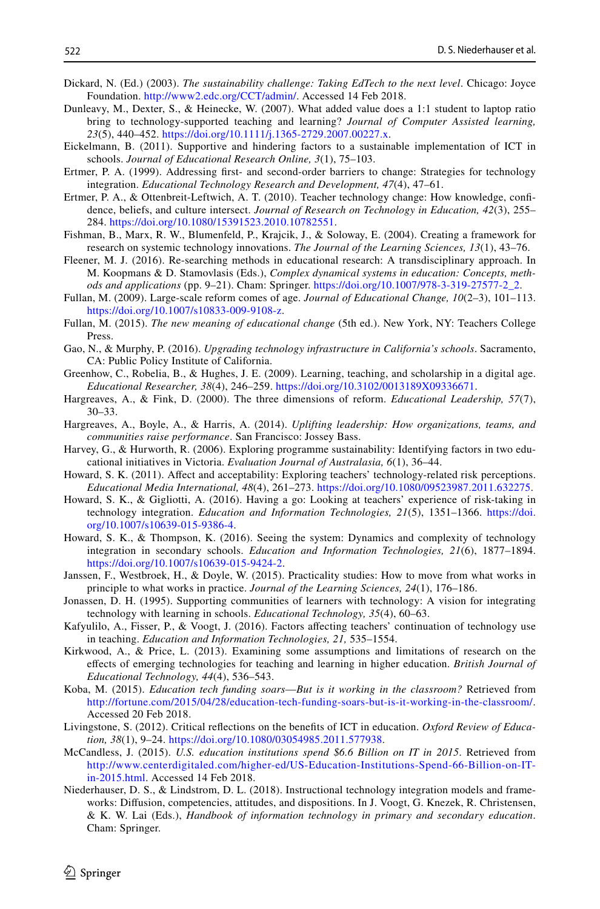- <span id="page-17-12"></span>Dickard, N. (Ed.) (2003). *The sustainability challenge: Taking EdTech to the next level*. Chicago: Joyce Foundation. <http://www2.edc.org/CCT/admin/>. Accessed 14 Feb 2018.
- <span id="page-17-21"></span>Dunleavy, M., Dexter, S., & Heinecke, W. (2007). What added value does a 1:1 student to laptop ratio bring to technology-supported teaching and learning? *Journal of Computer Assisted learning, 23*(5), 440–452. [https://doi.org/10.1111/j.1365-2729.2007.00227.x.](https://doi.org/10.1111/j.1365-2729.2007.00227.x)
- <span id="page-17-16"></span>Eickelmann, B. (2011). Supportive and hindering factors to a sustainable implementation of ICT in schools. *Journal of Educational Research Online, 3*(1), 75–103.
- <span id="page-17-23"></span>Ertmer, P. A. (1999). Addressing frst- and second-order barriers to change: Strategies for technology integration. *Educational Technology Research and Development, 47*(4), 47–61.
- <span id="page-17-10"></span>Ertmer, P. A., & Ottenbreit-Leftwich, A. T. (2010). Teacher technology change: How knowledge, confdence, beliefs, and culture intersect. *Journal of Research on Technology in Education, 42*(3), 255– 284. [https://doi.org/10.1080/15391523.2010.10782551.](https://doi.org/10.1080/15391523.2010.10782551)
- <span id="page-17-3"></span>Fishman, B., Marx, R. W., Blumenfeld, P., Krajcik, J., & Soloway, E. (2004). Creating a framework for research on systemic technology innovations. *The Journal of the Learning Sciences, 13*(1), 43–76.
- <span id="page-17-19"></span>Fleener, M. J. (2016). Re-searching methods in educational research: A transdisciplinary approach. In M. Koopmans & D. Stamovlasis (Eds.), *Complex dynamical systems in education: Concepts, methods and applications* (pp. 9–21). Cham: Springer. [https://doi.org/10.1007/978-3-319-27577-2\\_2.](https://doi.org/10.1007/978-3-319-27577-2_2)
- <span id="page-17-15"></span>Fullan, M. (2009). Large-scale reform comes of age. *Journal of Educational Change, 10*(2–3), 101–113. <https://doi.org/10.1007/s10833-009-9108-z>.
- <span id="page-17-13"></span>Fullan, M. (2015). *The new meaning of educational change* (5th ed.). New York, NY: Teachers College Press.
- <span id="page-17-17"></span>Gao, N., & Murphy, P. (2016). *Upgrading technology infrastructure in California's schools*. Sacramento, CA: Public Policy Institute of California.
- <span id="page-17-18"></span>Greenhow, C., Robelia, B., & Hughes, J. E. (2009). Learning, teaching, and scholarship in a digital age. *Educational Researcher, 38*(4), 246–259. [https://doi.org/10.3102/0013189X09336671.](https://doi.org/10.3102/0013189X09336671)
- <span id="page-17-9"></span>Hargreaves, A., & Fink, D. (2000). The three dimensions of reform. *Educational Leadership, 57*(7), 30–33.
- <span id="page-17-14"></span>Hargreaves, A., Boyle, A., & Harris, A. (2014). *Uplifting leadership: How organizations, teams, and communities raise performance*. San Francisco: Jossey Bass.
- <span id="page-17-11"></span>Harvey, G., & Hurworth, R. (2006). Exploring programme sustainability: Identifying factors in two educational initiatives in Victoria. *Evaluation Journal of Australasia, 6*(1), 36–44.
- <span id="page-17-20"></span>Howard, S. K. (2011). Afect and acceptability: Exploring teachers' technology-related risk perceptions. *Educational Media International, 48*(4), 261–273. [https://doi.org/10.1080/09523987.2011.632275.](https://doi.org/10.1080/09523987.2011.632275)
- <span id="page-17-8"></span>Howard, S. K., & Gigliotti, A. (2016). Having a go: Looking at teachers' experience of risk-taking in technology integration. *Education and Information Technologies, 21*(5), 1351–1366. [https://doi.](https://doi.org/10.1007/s10639-015-9386-4) [org/10.1007/s10639-015-9386-4](https://doi.org/10.1007/s10639-015-9386-4).
- <span id="page-17-7"></span>Howard, S. K., & Thompson, K. (2016). Seeing the system: Dynamics and complexity of technology integration in secondary schools. *Education and Information Technologies, 21*(6), 1877–1894. [https://doi.org/10.1007/s10639-015-9424-2.](https://doi.org/10.1007/s10639-015-9424-2)
- <span id="page-17-24"></span>Janssen, F., Westbroek, H., & Doyle, W. (2015). Practicality studies: How to move from what works in principle to what works in practice. *Journal of the Learning Sciences, 24*(1), 176–186.
- <span id="page-17-4"></span>Jonassen, D. H. (1995). Supporting communities of learners with technology: A vision for integrating technology with learning in schools. *Educational Technology, 35*(4), 60–63.
- <span id="page-17-22"></span>Kafyulilo, A., Fisser, P., & Voogt, J. (2016). Factors afecting teachers' continuation of technology use in teaching. *Education and Information Technologies, 21,* 535–1554.
- <span id="page-17-2"></span>Kirkwood, A., & Price, L. (2013). Examining some assumptions and limitations of research on the efects of emerging technologies for teaching and learning in higher education. *British Journal of Educational Technology, 44*(4), 536–543.
- <span id="page-17-0"></span>Koba, M. (2015). *Education tech funding soars*—*But is it working in the classroom?* Retrieved from [http://fortune.com/2015/04/28/education-tech-funding-soars-but-is-it-working-in-the-classroom/.](http://fortune.com/2015/04/28/education-tech-funding-soars-but-is-it-working-in-the-classroom/) Accessed 20 Feb 2018.
- <span id="page-17-5"></span>Livingstone, S. (2012). Critical refections on the benefts of ICT in education. *Oxford Review of Education, 38*(1), 9–24. <https://doi.org/10.1080/03054985.2011.577938>.
- <span id="page-17-1"></span>McCandless, J. (2015). *U.S. education institutions spend \$6.6 Billion on IT in 2015*. Retrieved from [http://www.centerdigitaled.com/higher-ed/US-Education-Institutions-Spend-66-Billion-on-IT](http://www.centerdigitaled.com/higher-ed/US-Education-Institutions-Spend-66-Billion-on-IT-in-2015.html)[in-2015.html.](http://www.centerdigitaled.com/higher-ed/US-Education-Institutions-Spend-66-Billion-on-IT-in-2015.html) Accessed 14 Feb 2018.
- <span id="page-17-6"></span>Niederhauser, D. S., & Lindstrom, D. L. (2018). Instructional technology integration models and frameworks: Difusion, competencies, attitudes, and dispositions. In J. Voogt, G. Knezek, R. Christensen, & K. W. Lai (Eds.), *Handbook of information technology in primary and secondary education*. Cham: Springer.